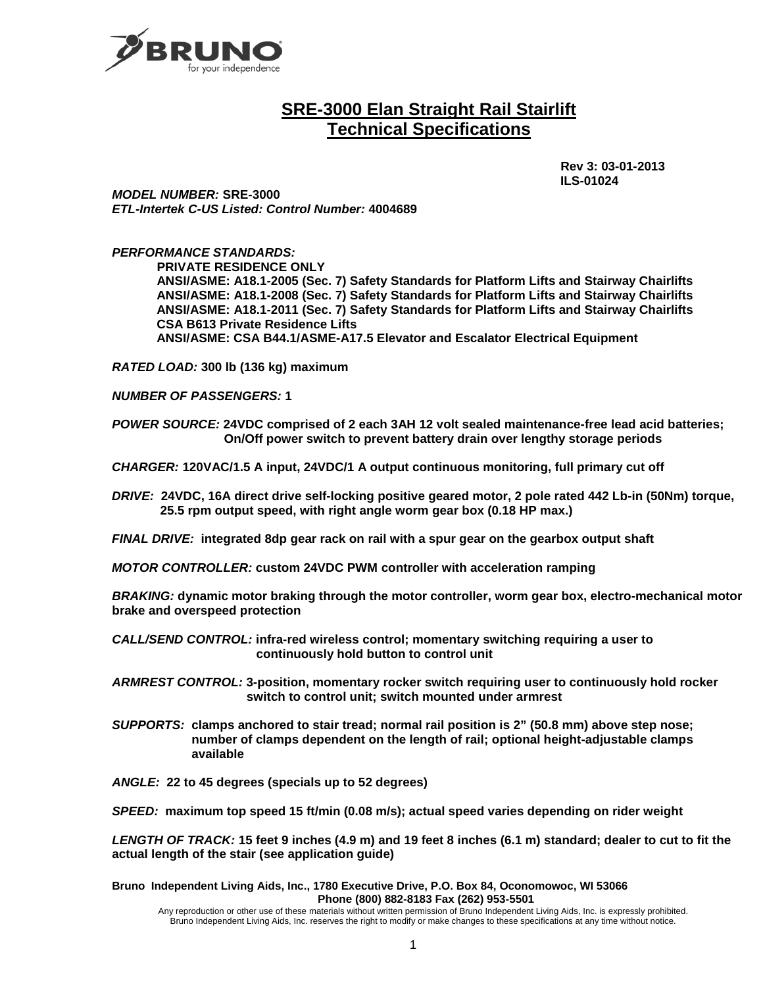

# **SRE-3000 Elan Straight Rail Stairlift Technical Specifications**

 **Rev 3: 03-01-2013 ILS-01024**

*MODEL NUMBER:* **SRE-3000** *ETL-Intertek C-US Listed: Control Number:* **4004689**

*PERFORMANCE STANDARDS:*

**PRIVATE RESIDENCE ONLY ANSI/ASME: A18.1-2005 (Sec. 7) Safety Standards for Platform Lifts and Stairway Chairlifts ANSI/ASME: A18.1-2008 (Sec. 7) Safety Standards for Platform Lifts and Stairway Chairlifts ANSI/ASME: A18.1-2011 (Sec. 7) Safety Standards for Platform Lifts and Stairway Chairlifts CSA B613 Private Residence Lifts ANSI/ASME: CSA B44.1/ASME-A17.5 Elevator and Escalator Electrical Equipment**

*RATED LOAD:* **300 lb (136 kg) maximum**

*NUMBER OF PASSENGERS:* **1**

*POWER SOURCE:* **24VDC comprised of 2 each 3AH 12 volt sealed maintenance-free lead acid batteries; On/Off power switch to prevent battery drain over lengthy storage periods**

*CHARGER:* **120VAC/1.5 A input, 24VDC/1 A output continuous monitoring, full primary cut off**

*DRIVE:* **24VDC, 16A direct drive self-locking positive geared motor, 2 pole rated 442 Lb-in (50Nm) torque, 25.5 rpm output speed, with right angle worm gear box (0.18 HP max.)**

*FINAL DRIVE:* **integrated 8dp gear rack on rail with a spur gear on the gearbox output shaft**

*MOTOR CONTROLLER:* **custom 24VDC PWM controller with acceleration ramping**

*BRAKING:* **dynamic motor braking through the motor controller, worm gear box, electro-mechanical motor brake and overspeed protection**

*CALL/SEND CONTROL:* **infra-red wireless control; momentary switching requiring a user to continuously hold button to control unit**

*ARMREST CONTROL:* **3-position, momentary rocker switch requiring user to continuously hold rocker switch to control unit; switch mounted under armrest**

- *SUPPORTS:* **clamps anchored to stair tread; normal rail position is 2" (50.8 mm) above step nose; number of clamps dependent on the length of rail; optional height-adjustable clamps available**
- *ANGLE:* **22 to 45 degrees (specials up to 52 degrees)**

*SPEED:* **maximum top speed 15 ft/min (0.08 m/s); actual speed varies depending on rider weight**

*LENGTH OF TRACK:* **15 feet 9 inches (4.9 m) and 19 feet 8 inches (6.1 m) standard; dealer to cut to fit the actual length of the stair (see application guide)**

**Bruno Independent Living Aids, Inc., 1780 Executive Drive, P.O. Box 84, Oconomowoc, WI 53066 Phone (800) 882-8183 Fax (262) 953-5501**

Any reproduction or other use of these materials without written permission of Bruno Independent Living Aids, Inc. is expressly prohibited. Bruno Independent Living Aids, Inc. reserves the right to modify or make changes to these specifications at any time without notice.